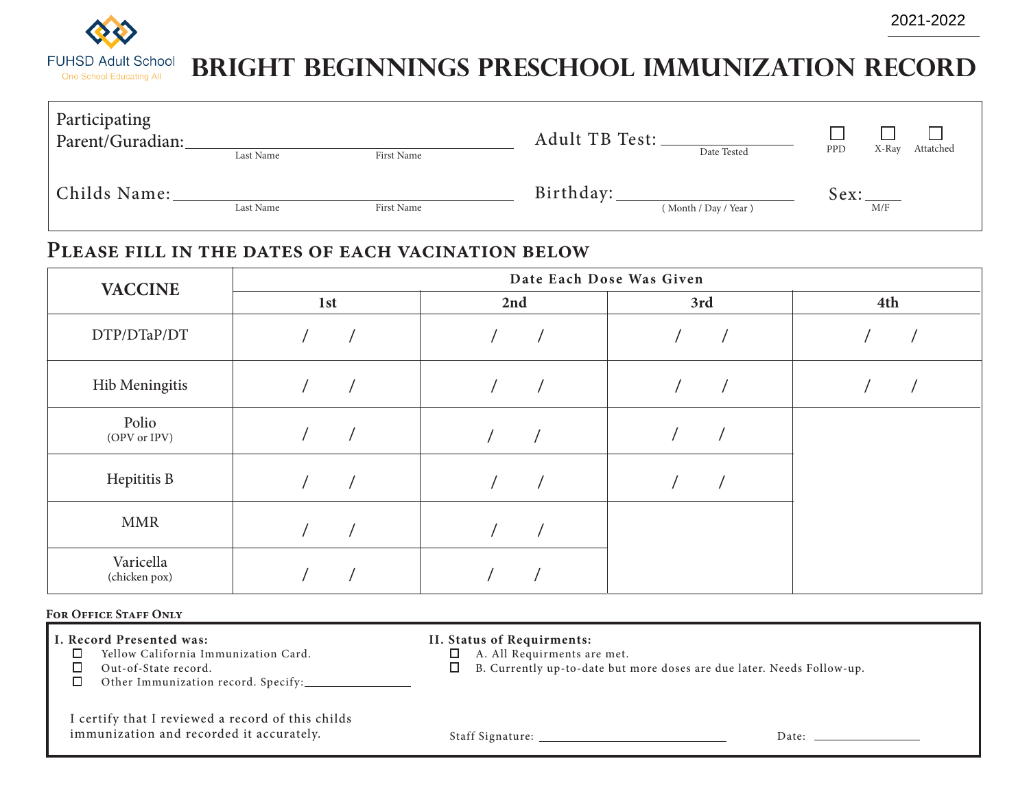

| Participating<br>Parent/Guradian: |           |            | Adult TB Test: |                      | Attatched<br>PPD<br>X-Ray |
|-----------------------------------|-----------|------------|----------------|----------------------|---------------------------|
|                                   | Last Name | First Name |                | Date Tested          |                           |
| Childs Name:                      | Last Name | First Name | Birthday:      | (Month / Day / Year) | Sex:<br>M/F               |

### **Please fill in the dates of each vacination below**

| <b>VACCINE</b>             | Date Each Dose Was Given |     |     |     |  |  |
|----------------------------|--------------------------|-----|-----|-----|--|--|
|                            | 1st                      | 2nd | 3rd | 4th |  |  |
| DTP/DTaP/DT                |                          |     |     |     |  |  |
| Hib Meningitis             |                          |     |     |     |  |  |
| Polio<br>(OPV or IPV)      |                          |     |     |     |  |  |
| Hepititis B                |                          |     |     |     |  |  |
| <b>MMR</b>                 |                          |     |     |     |  |  |
| Varicella<br>(chicken pox) |                          |     |     |     |  |  |

#### **For Office Staff Only**

- **I. Record Presented was:** 
	- □ Yellow California Immunization Card.
	- □ Out-of-State record.
	- Other Immunization record. Specify:  $\Box$

|  |  |  | II. Status of Requirments: |
|--|--|--|----------------------------|
|--|--|--|----------------------------|

- A. All Requirments are met.
- B. Currently up-to-date but more doses are due later. Needs Follow-up.

I certify that I reviewed a record of this childs immunization and recorded it accurately.

Staff Signature: Date:

2021-2022